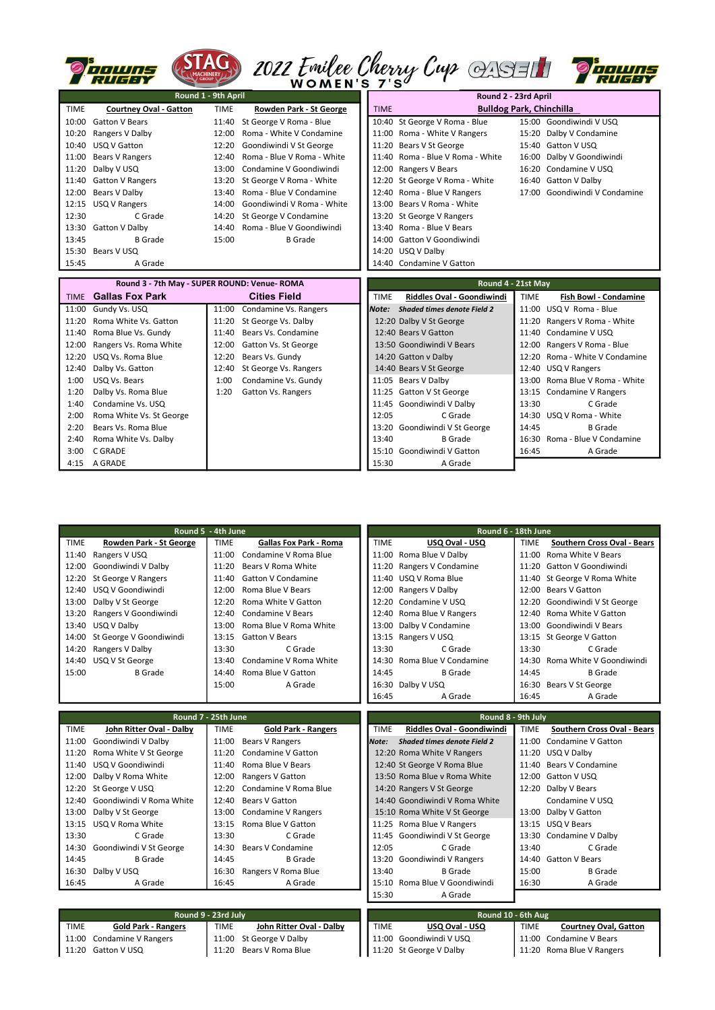|             | uh jums<br><b>The ETY</b>                   |             |                                              |                                                                                                                | 2022 Emilee Cherry Cup Q1931                    |       |                                |  |  |  |
|-------------|---------------------------------------------|-------------|----------------------------------------------|----------------------------------------------------------------------------------------------------------------|-------------------------------------------------|-------|--------------------------------|--|--|--|
|             | Round 1 - 9th April                         |             |                                              |                                                                                                                | Round 2 - 23rd April                            |       |                                |  |  |  |
| <b>TIME</b> | <b>Courtney Oval - Gatton</b>               | <b>TIME</b> | <b>Rowden Park - St George</b>               | <b>TIME</b>                                                                                                    | <b>Bulldog Park, Chinchilla</b>                 |       |                                |  |  |  |
| 10:00       | <b>Gatton V Bears</b>                       | 11:40       | St George V Roma - Blue                      |                                                                                                                | 10:40 St George V Roma - Blue                   |       | 15:00 Goondiwindi V USQ        |  |  |  |
| 10:20       | Rangers V Dalby                             | 12:00       | Roma - White V Condamine                     |                                                                                                                | 11:00 Roma - White V Rangers                    |       | 15:20 Dalby V Condamine        |  |  |  |
| 10:40       | USQ V Gatton                                | 12:20       | Goondiwindi V St George                      |                                                                                                                | 11:20 Bears V St George                         |       | 15:40 Gatton V USQ             |  |  |  |
| 11:00       | <b>Bears V Rangers</b>                      | 12:40       | Roma - Blue V Roma - White                   |                                                                                                                | 11:40 Roma - Blue V Roma - White                |       | 16:00 Dalby V Goondiwindi      |  |  |  |
| 11:20       | Dalby V USQ                                 | 13:00       | Condamine V Goondiwindi                      |                                                                                                                | 12:00 Rangers V Bears                           |       | 16:20 Condamine V USQ          |  |  |  |
| 11:40       | <b>Gatton V Rangers</b>                     | 13:20       | St George V Roma - White                     |                                                                                                                | 12:20 St George V Roma - White                  |       | 16:40 Gatton V Dalby           |  |  |  |
| 12:00       | Bears V Dalby                               | 13:40       | Roma - Blue V Condamine                      |                                                                                                                | 12:40 Roma - Blue V Rangers                     |       | 17:00 Goondiwindi V Condamine  |  |  |  |
|             | 12:15 USQ V Rangers                         | 14:00       | Goondiwindi V Roma - White                   |                                                                                                                | 13:00 Bears V Roma - White                      |       |                                |  |  |  |
| 12:30       | C Grade                                     | 14:20       | St George V Condamine                        |                                                                                                                | 13:20 St George V Rangers                       |       |                                |  |  |  |
|             | 13:30 Gatton V Dalby                        | 14:40       | Roma - Blue V Goondiwindi                    |                                                                                                                | 13:40 Roma - Blue V Bears                       |       |                                |  |  |  |
| 13:45       | B Grade                                     | 15:00       | <b>B</b> Grade                               |                                                                                                                | 14:00 Gatton V Goondiwindi                      |       |                                |  |  |  |
|             | 15:30 Bears V USQ                           |             |                                              |                                                                                                                | 14:20 USQ V Dalby                               |       |                                |  |  |  |
| 15:45       | A Grade                                     |             |                                              |                                                                                                                | 14:40 Condamine V Gatton                        |       |                                |  |  |  |
|             | Round 3 - 7th May - SUPER ROUND: Venue-ROMA |             |                                              |                                                                                                                |                                                 |       |                                |  |  |  |
| <b>TIMF</b> | <b>Gallas Fox Park</b>                      |             | <b>Cities Field</b>                          | Round 4 - 21st May<br>Riddles Oval - Goondiwindi<br><b>TIME</b><br><b>TIME</b><br><b>Fish Bowl - Condamine</b> |                                                 |       |                                |  |  |  |
| 11:00       |                                             | 11:00       |                                              |                                                                                                                | Note: Shaded times denote Field 2               |       | 11:00 USQ V Roma - Blue        |  |  |  |
| 11:20       | Gundy Vs. USQ<br>Roma White Vs. Gatton      | 11:20       | Condamine Vs. Rangers<br>St George Vs. Dalby |                                                                                                                |                                                 |       | 11:20 Rangers V Roma - White   |  |  |  |
| 11:40       | Roma Blue Vs. Gundy                         | 11:40       | Bears Vs. Condamine                          |                                                                                                                | 12:20 Dalby V St George<br>12:40 Bears V Gatton |       | 11:40 Condamine V USQ          |  |  |  |
| 12:00       | Rangers Vs. Roma White                      | 12:00       | Gatton Vs. St George                         |                                                                                                                | 13:50 Goondiwindi V Bears                       |       | 12:00 Rangers V Roma - Blue    |  |  |  |
| 12:20       | USQ Vs. Roma Blue                           | 12:20       | Bears Vs. Gundy                              |                                                                                                                | 14:20 Gatton v Dalby                            |       | 12:20 Roma - White V Condamine |  |  |  |
| 12:40       | Dalby Vs. Gatton                            | 12:40       | St George Vs. Rangers                        |                                                                                                                | 14:40 Bears V St George                         |       | 12:40 USQ V Rangers            |  |  |  |
| 1:00        | USQ Vs. Bears                               | 1:00        | Condamine Vs. Gundy                          |                                                                                                                | 11:05 Bears V Dalby                             |       | 13:00 Roma Blue V Roma - White |  |  |  |
| 1:20        | Dalby Vs. Roma Blue                         | 1:20        | Gatton Vs. Rangers                           |                                                                                                                | 11:25 Gatton V St George                        |       | 13:15 Condamine V Rangers      |  |  |  |
| 1:40        | Condamine Vs. USQ                           |             |                                              |                                                                                                                | 11:45 Goondiwindi V Dalby                       | 13:30 | C Grade                        |  |  |  |
| 2:00        | Roma White Vs. St George                    |             |                                              | 12:05                                                                                                          | C Grade                                         |       | 14:30 USQ V Roma - White       |  |  |  |
| 2:20        | Bears Vs. Roma Blue                         |             |                                              |                                                                                                                | 13:20 Goondiwindi V St George                   | 14:45 | <b>B</b> Grade                 |  |  |  |
| 2:40        | Roma White Vs. Dalby                        |             |                                              | 13:40                                                                                                          | <b>B</b> Grade                                  |       | 16:30 Roma - Blue V Condamine  |  |  |  |
| 3:00        | C GRADE                                     |             |                                              |                                                                                                                | 15:10 Goondiwindi V Gatton                      | 16:45 | A Grade                        |  |  |  |
|             | 4:15 A GRADE                                |             |                                              | 15:30                                                                                                          | A Grade                                         |       |                                |  |  |  |
|             |                                             |             |                                              |                                                                                                                |                                                 |       |                                |  |  |  |

|                     | Round 5 - 4th June             |             |                               | Round 6 - 18th June |                                    |             |                                    |  |
|---------------------|--------------------------------|-------------|-------------------------------|---------------------|------------------------------------|-------------|------------------------------------|--|
| <b>TIME</b>         | <b>Rowden Park - St George</b> | TIME        | <b>Gallas Fox Park - Roma</b> | <b>TIME</b>         | USQ Oval - USQ                     | <b>TIME</b> | <b>Southern Cross Oval - Bears</b> |  |
| 11:40               | Rangers V USQ                  | 11:00       | Condamine V Roma Blue         |                     | 11:00 Roma Blue V Dalby            | 11:00       | Roma White V Bears                 |  |
| 12:00               | Goondiwindi V Dalby            | 11:20       | Bears V Roma White            |                     | 11:20 Rangers V Condamine          |             | 11:20 Gatton V Goondiwindi         |  |
| 12:20               | St George V Rangers            | 11:40       | <b>Gatton V Condamine</b>     |                     | 11:40 USQ V Roma Blue              |             | 11:40 St George V Roma White       |  |
| 12:40               | USQ V Goondiwindi              | 12:00       | Roma Blue V Bears             |                     | 12:00 Rangers V Dalby              |             | 12:00 Bears V Gatton               |  |
| 13:00               | Dalby V St George              | 12:20       | Roma White V Gatton           |                     | 12:20 Condamine V USQ              |             | 12:20 Goondiwindi V St George      |  |
| 13:20               | Rangers V Goondiwindi          | 12:40       | Condamine V Bears             |                     | 12:40 Roma Blue V Rangers          |             | 12:40 Roma White V Gatton          |  |
| 13:40               | USQ V Dalby                    | 13:00       | Roma Blue V Roma White        |                     | 13:00 Dalby V Condamine            |             | 13:00 Goondiwindi V Bears          |  |
| 14:00               | St George V Goondiwindi        | 13:15       | <b>Gatton V Bears</b>         |                     | 13:15 Rangers V USQ                |             | 13:15 St George V Gatton           |  |
| 14:20               | Rangers V Dalby                | 13:30       | C Grade                       | 13:30               | C Grade                            | 13:30       | C Grade                            |  |
| 14:40               | USQ V St George                | 13:40       | Condamine V Roma White        |                     | 14:30 Roma Blue V Condamine        |             | Roma White V Goondiwindi<br>14:30  |  |
| 15:00               | <b>B</b> Grade                 | 14:40       | Roma Blue V Gatton            | 14:45               | <b>B</b> Grade                     |             | 14:45<br><b>B</b> Grade            |  |
|                     |                                | 15:00       | A Grade                       |                     | 16:30 Dalby V USQ                  |             | 16:30 Bears V St George            |  |
|                     |                                |             |                               | 16:45               | A Grade                            | 16:45       | A Grade                            |  |
|                     |                                |             |                               |                     |                                    |             |                                    |  |
| Round 7 - 25th June |                                |             |                               | Round 8 - 9th July  |                                    |             |                                    |  |
| <b>TIME</b>         | John Ritter Oval - Dalby       | <b>TIME</b> | <b>Gold Park - Rangers</b>    | <b>TIME</b>         | <b>Riddles Oval - Goondiwindi</b>  | <b>TIME</b> | <b>Southern Cross Oval - Bears</b> |  |
| 11:00               | Goondiwindi V Dalby            | 11:00       | <b>Bears V Rangers</b>        | Note:               | <b>Shaded times denote Field 2</b> | 11:00       | Condamine V Gatton                 |  |
| 11:20               | Roma White V St George         | 11:20       | Condamine V Gatton            |                     | 12:20 Roma White V Rangers         |             | 11:20 USQ V Dalby                  |  |

|       | 11:40 USQ V Goondiwindi        |       | 11:40 Roma Blue V Bears     |       | 12:40 St George V Roma Blue    |       | 11:40 Bears V Condamine |
|-------|--------------------------------|-------|-----------------------------|-------|--------------------------------|-------|-------------------------|
|       | 12:00 Dalby V Roma White       |       | 12:00 Rangers V Gatton      |       | 13:50 Roma Blue v Roma White   |       | 12:00 Gatton V USQ      |
|       | 12:20 St George V USQ          |       | 12:20 Condamine V Roma Blue |       | 14:20 Rangers V St George      |       | 12:20 Dalby V Bears     |
|       | 12:40 Goondiwindi V Roma White |       | 12:40 Bears V Gatton        |       | 14:40 Goondiwindi V Roma White |       | Condamine V USQ         |
|       | 13:00 Dalby V St George        |       | 13:00 Condamine V Rangers   |       | 15:10 Roma White V St George   |       | 13:00 Dalby V Gatton    |
|       | 13:15 USQ V Roma White         |       | 13:15 Roma Blue V Gatton    |       | 11:25 Roma Blue V Rangers      |       | 13:15 USQ V Bears       |
| 13:30 | C Grade                        | 13:30 | C Grade                     |       | 11:45 Goondiwindi V St George  |       | 13:30 Condamine V Dalby |
|       | 14:30 Goondiwindi V St George  |       | 14:30 Bears V Condamine     | 12:05 | C Grade                        | 13:40 | C Grade                 |
| 14:45 | <b>B</b> Grade                 | 14:45 | B Grade                     |       | 13:20 Goondiwindi V Rangers    |       | 14:40 Gatton V Bears    |
|       | 16:30 Dalby V USQ              | 16:30 | Rangers V Roma Blue         | 13:40 | <b>B</b> Grade                 | 15:00 | <b>B</b> Grade          |
| 16:45 | A Grade                        | 16:45 | A Grade                     |       | 15:10 Roma Blue V Goondiwindi  | 16:30 | A Grade                 |

|       | 12:40 St George V Roma Blue    |
|-------|--------------------------------|
|       | 13:50 Roma Blue y Roma White   |
|       | 14:20 Rangers V St George      |
|       | 14:40 Goondiwindi V Roma White |
|       | 15:10 Roma White V St George   |
|       | 11:25 Roma Blue V Rangers      |
|       | 11:45 Goondiwindi V St George  |
| 12:05 | C Grade                        |
|       | 13:20 Goondiwindi V Rangers    |
| 13:40 | <b>B</b> Grade                 |
|       | 15:10 Roma Blue V Goondiwindi  |
| 15:30 | A Grade                        |

|       | 11:40 Bears V Condamine |
|-------|-------------------------|
|       | 12:00 Gatton V USQ      |
|       | 12:20 Dalby V Bears     |
|       | Condamine V USQ         |
|       | 13:00 Dalby V Gatton    |
|       | 13:15 USQ V Bears       |
|       | 13:30 Condamine V Dalby |
| 13:40 | C Grade                 |
|       | 14:40 Gatton V Bears    |
| 15:00 | B Grade                 |
| 16:30 | A Grade                 |
|       |                         |

|       | Round 9 - 23rd July        |       |                          |  |             | Round 10 - 6th Aug      |             |                              |  |  |
|-------|----------------------------|-------|--------------------------|--|-------------|-------------------------|-------------|------------------------------|--|--|
| TIME  | <b>Gold Park - Rangers</b> | TIME  | John Ritter Oval - Dalby |  | <b>TIME</b> | USQ Oval - USQ          | <b>TIME</b> | <b>Courtney Oval, Gatton</b> |  |  |
| 11:00 | Condamine V Rangers        |       | 11:00 St George V Dalby  |  |             | 11:00 Goondiwindi V USQ |             | 11:00 Condamine V Bears      |  |  |
| 11:20 | Gatton V USQ               | 11:20 | Bears V Roma Blue        |  |             | 11:20 St George V Dalby | 11:20       | Roma Blue V Rangers          |  |  |